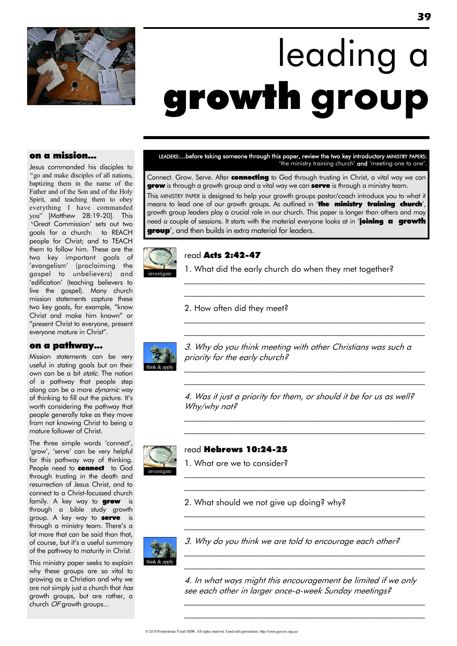

# leading a growth **group**

### on a mission...

Jesus commanded his disciples to "go and make disciples of all nations, baptizing them in the name of the Father and of the Son and of the Holy Spirit, and teaching them to obey everything I have commanded you" [Matthew 28:19-20]. This 'Great Commission' sets out two goals for a church: to REACH people for Christ; and to TEACH them to follow him. These are the two key important goals of 'evangelism' (proclaiming the gospel to unbelievers) and ‗edification' (teaching believers to live the gospel). Many church mission statements capture these two key goals, for example, "know Christ and make him known‖ or "present Christ to everyone, present everyone mature in Christ".

#### on a pathway...

Mission statements can be very useful in stating goals but on their own can be a bit static. The notion of a pathway that people step along can be a more dynamic way of thinking to fill out the picture. It's worth considering the pathway that people generally take as they move from not knowing Christ to being a mature follower of Christ.

The three simple words 'connect', 'grow', 'serve' can be very helpful for this pathway way of thinking. People need to **connect** to God through trusting in the death and resurrection of Jesus Christ, and to connect to a Christ-focussed church family. A key way to **grow** is through a bible study growth group. A key way to **serve** is through a ministry team. There's a lot more that can be said than that, of course, but it's a useful summary of the pathway to maturity in Christ.

This ministry paper seeks to explain why these groups are so vital to growing as a Christian and why we are not simply just a church that has growth groups, but are rather, a church OF growth groups...

LEADERS:...before taking someone through this paper, review the two key introductory MINISTRY PAPERS: 'the ministry training church' and 'meeting one to one'.

Connect. Grow. Serve. After connecting to God through trusting in Christ, a vital way we can grow is through a growth group and a vital way we can serve is through a ministry team. This MINISTRY PAPER is designed to help your growth groups pastor/coach introduce you to what it means to lead one of our growth groups. As outlined in 'the ministry training church', growth group leaders play a crucial role in our church. This paper is longer than others and may need a couple of sessions. It starts with the material everyone looks at in 'joining a growth **group**', and then builds in extra material for leaders.



#### read Acts 2:42-47

1. What did the early church do when they met together?

\_\_\_\_\_\_\_\_\_\_\_\_\_\_\_\_\_\_\_\_\_\_\_\_\_\_\_\_\_\_\_\_\_\_\_\_\_\_\_\_\_\_\_\_\_\_\_\_\_\_\_\_\_\_\_\_\_ \_\_\_\_\_\_\_\_\_\_\_\_\_\_\_\_\_\_\_\_\_\_\_\_\_\_\_\_\_\_\_\_\_\_\_\_\_\_\_\_\_\_\_\_\_\_\_\_\_\_\_\_\_\_\_\_\_

\_\_\_\_\_\_\_\_\_\_\_\_\_\_\_\_\_\_\_\_\_\_\_\_\_\_\_\_\_\_\_\_\_\_\_\_\_\_\_\_\_\_\_\_\_\_\_\_\_\_\_\_\_\_\_\_\_  $\mathcal{L}_\text{max}$  and the contract of the contract of the contract of the contract of the contract of the contract of

2. How often did they meet?



3. Why do you think meeting with other Christians was such a priority for the early church?

\_\_\_\_\_\_\_\_\_\_\_\_\_\_\_\_\_\_\_\_\_\_\_\_\_\_\_\_\_\_\_\_\_\_\_\_\_\_\_\_\_\_\_\_\_\_\_\_\_\_\_\_\_\_\_\_\_ \_\_\_\_\_\_\_\_\_\_\_\_\_\_\_\_\_\_\_\_\_\_\_\_\_\_\_\_\_\_\_\_\_\_\_\_\_\_\_\_\_\_\_\_\_\_\_\_\_\_\_\_\_\_\_\_\_

4. Was it just a priority for them, or should it be for us as well? Why/why not?

\_\_\_\_\_\_\_\_\_\_\_\_\_\_\_\_\_\_\_\_\_\_\_\_\_\_\_\_\_\_\_\_\_\_\_\_\_\_\_\_\_\_\_\_\_\_\_\_\_\_\_\_\_\_\_\_\_ \_\_\_\_\_\_\_\_\_\_\_\_\_\_\_\_\_\_\_\_\_\_\_\_\_\_\_\_\_\_\_\_\_\_\_\_\_\_\_\_\_\_\_\_\_\_\_\_\_\_\_\_\_\_\_\_\_

 $\mathcal{L}_\text{max}$  and the contract of the contract of the contract of the contract of the contract of the contract of  $\mathcal{L}_\text{max}$  and the contract of the contract of the contract of the contract of the contract of the contract of

 $\mathcal{L}_\text{max}$  and the contract of the contract of the contract of the contract of the contract of the contract of  $\mathcal{L}_\text{max}$  and the contract of the contract of the contract of the contract of the contract of the contract of

 $\mathcal{L}_\text{max}$  and the contract of the contract of the contract of the contract of the contract of the contract of  $\mathcal{L}_\text{max}$  and the contract of the contract of the contract of the contract of the contract of the contract of



#### read Hebrews 10:24-25

1. What are we to consider?

2. What should we not give up doing? why?



3. Why do you think we are told to encourage each other?

4. In what ways might this encouragement be limited if we only see each other in larger once-a-week Sunday meetings?

\_\_\_\_\_\_\_\_\_\_\_\_\_\_\_\_\_\_\_\_\_\_\_\_\_\_\_\_\_\_\_\_\_\_\_\_\_\_\_\_\_\_\_\_\_\_\_\_\_\_\_\_\_\_\_\_\_  $\mathcal{L}_\text{max}$  and the contract of the contract of the contract of the contract of the contract of the contract of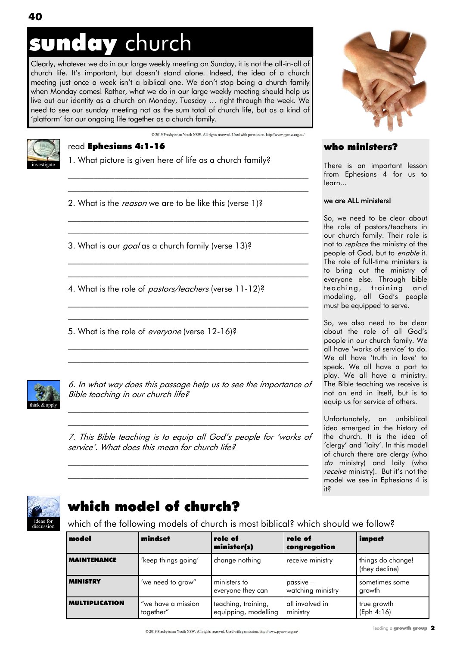## sunday church

Clearly, whatever we do in our large weekly meeting on Sunday, it is not the all-in-all of church life. It's important, but doesn't stand alone. Indeed, the idea of a church meeting just once a week isn't a biblical one. We don't stop being a church family when Monday comes! Rather, what we do in our large weekly meeting should help us live out our identity as a church on Monday, Tuesday … right through the week. We need to see our sunday meeting not as the sum total of church life, but as a kind of 'platform' for our ongoing life together as a church family.

© 2019 Presbyterian Youth NSW. All rights reserved. Used with permission. http://www.pynsw.org.au/



### read Ephesians 4:1-16

1. What picture is given here of life as a church family?

 $\mathcal{L}_\text{max}$  and the contract of the contract of the contract of the contract of the contract of the contract of  $\mathcal{L}_\text{max}$  and the contract of the contract of the contract of the contract of the contract of the contract of

 $\mathcal{L}_\text{max}$  and the contract of the contract of the contract of the contract of the contract of the contract of \_\_\_\_\_\_\_\_\_\_\_\_\_\_\_\_\_\_\_\_\_\_\_\_\_\_\_\_\_\_\_\_\_\_\_\_\_\_\_\_\_\_\_\_\_\_\_\_\_\_\_\_\_\_\_\_\_

\_\_\_\_\_\_\_\_\_\_\_\_\_\_\_\_\_\_\_\_\_\_\_\_\_\_\_\_\_\_\_\_\_\_\_\_\_\_\_\_\_\_\_\_\_\_\_\_\_\_\_\_\_\_\_\_\_ \_\_\_\_\_\_\_\_\_\_\_\_\_\_\_\_\_\_\_\_\_\_\_\_\_\_\_\_\_\_\_\_\_\_\_\_\_\_\_\_\_\_\_\_\_\_\_\_\_\_\_\_\_\_\_\_\_

\_\_\_\_\_\_\_\_\_\_\_\_\_\_\_\_\_\_\_\_\_\_\_\_\_\_\_\_\_\_\_\_\_\_\_\_\_\_\_\_\_\_\_\_\_\_\_\_\_\_\_\_\_\_\_\_\_  $\mathcal{L}_\text{max}$  and the contract of the contract of the contract of the contract of the contract of the contract of

 $\mathcal{L}_\text{max}$  and the contract of the contract of the contract of the contract of the contract of the contract of  $\mathcal{L}_\text{max}$  and the contract of the contract of the contract of the contract of the contract of the contract of

2. What is the *reason* we are to be like this (verse 1)?

3. What is our *goal* as a church family (verse 13)?

4. What is the role of *pastors/teachers* (verse 11-12)?

5. What is the role of everyone (verse 12-16)?



6. In what way does this passage help us to see the importance of Bible teaching in our church life?

 $\mathcal{L}_\text{max}$  and the contract of the contract of the contract of the contract of the contract of the contract of  $\mathcal{L}_\text{max}$  and the contract of the contract of the contract of the contract of the contract of the contract of

7. This Bible teaching is to equip all God's people for 'works of service'. What does this mean for church life?

 $\mathcal{L}_\text{max}$  and the contract of the contract of the contract of the contract of the contract of the contract of  $\mathcal{L}_\text{max}$  and the contract of the contract of the contract of the contract of the contract of the contract of



### who ministers?

There is an important lesson from Ephesians 4 for us to learn...

#### we are ALL ministers!

So, we need to be clear about the role of pastors/teachers in our church family. Their role is not to replace the ministry of the people of God, but to enable it. The role of full-time ministers is to bring out the ministry of everyone else. Through bible teaching, training and modeling, all God's people must be equipped to serve.

So, we also need to be clear about the role of all God's people in our church family. We all have 'works of service' to do. We all have 'truth in love' to speak. We all have a part to play. We all have a ministry. The Bible teaching we receive is not an end in itself, but is to equip us for service of others.

Unfortunately, an unbiblical idea emerged in the history of the church. It is the idea of 'clergy' and 'laity'. In this model of church there are clergy (who do ministry) and laity (who receive ministry). But it's not the model we see in Ephesians 4 is it?



## which model of church?

which of the following models of church is most biblical? which should we follow?

| model                 | mindset                         | role of<br>minister(s)                      | role of<br>congregation          | impact                              |
|-----------------------|---------------------------------|---------------------------------------------|----------------------------------|-------------------------------------|
| <b>MAINTENANCE</b>    | 'keep things going'             | change nothing                              | receive ministry                 | things do change!<br>(they decline) |
| <b>MINISTRY</b>       | 'we need to grow"               | ministers to<br>everyone they can           | $passive -$<br>watching ministry | sometimes some<br>growth            |
| <b>MULTIPLICATION</b> | "we have a mission<br>together" | teaching, training,<br>equipping, modelling | all involved in<br>ministry      | true growth<br>(Eph 4:16)           |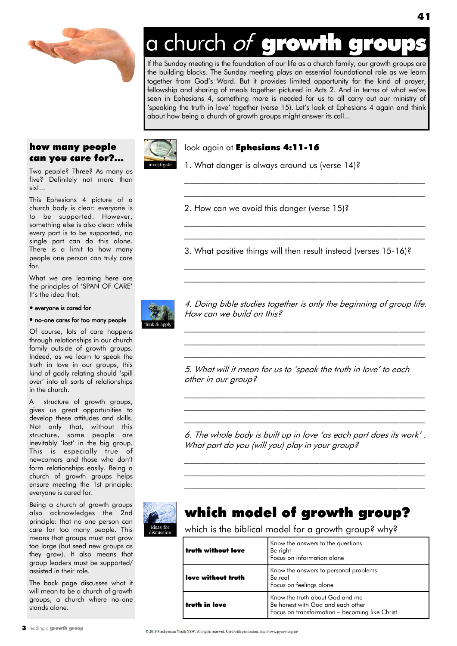

## a church of growth

If the Sunday meeting is the foundation of our life as a church family, our growth groups are the building blocks. The Sunday meeting plays an essential foundational role as we learn together from God‗s Word. But it provides limited opportunity for the kind of prayer, fellowship and sharing of meals together pictured in Acts 2. And in terms of what we've seen in Ephesians 4, something more is needed for us to all carry out our ministry of 'speaking the truth in love' together (verse 15). Let's look at Ephesians 4 again and think about how being a church of growth groups might answer its call...

### how many people can you care for?...

Two people? Three? As many as five? Definitely not more than six!...

This Ephesians 4 picture of a church body is clear: everyone is to be supported. However, something else is also clear: while every part is to be supported, no single part can do this alone. There is a limit to how many people one person can truly care for.

What we are learning here are the principles of 'SPAN OF CARE' It's the idea that:

#### everyone is cared for

#### no-one cares for too many people

Of course, lots of care happens through relationships in our church family outside of growth groups. Indeed, as we learn to speak the truth in love in our groups, this kind of godly relating should 'spill over' into all sorts of relationships in the church.

A structure of growth groups, gives us great opportunities to develop these attitudes and skills. Not only that, without this structure, some people are inevitably 'lost' in the big group. This is especially true of newcomers and those who don't form relationships easily. Being a church of growth groups helps ensure meeting the 1st principle: everyone is cared for.

Being a church of growth groups also acknowledges the 2nd principle: that no one person can care for too many people. This means that groups must not grow too large (but seed new groups as they grow). It also means that group leaders must be supported/ assisted in their role.

The back page discusses what it will mean to be a church of growth groups, a church where no-one stands alone.



#### look again at Ephesians 4:11-16

1. What danger is always around us (verse 14)?

2. How can we avoid this danger (verse 15)?

3. What positive things will then result instead (verses 15-16)?

\_\_\_\_\_\_\_\_\_\_\_\_\_\_\_\_\_\_\_\_\_\_\_\_\_\_\_\_\_\_\_\_\_\_\_\_\_\_\_\_\_\_\_\_\_\_\_\_\_\_\_\_\_\_\_\_\_ \_\_\_\_\_\_\_\_\_\_\_\_\_\_\_\_\_\_\_\_\_\_\_\_\_\_\_\_\_\_\_\_\_\_\_\_\_\_\_\_\_\_\_\_\_\_\_\_\_\_\_\_\_\_\_\_\_

\_\_\_\_\_\_\_\_\_\_\_\_\_\_\_\_\_\_\_\_\_\_\_\_\_\_\_\_\_\_\_\_\_\_\_\_\_\_\_\_\_\_\_\_\_\_\_\_\_\_\_\_\_\_\_\_\_ \_\_\_\_\_\_\_\_\_\_\_\_\_\_\_\_\_\_\_\_\_\_\_\_\_\_\_\_\_\_\_\_\_\_\_\_\_\_\_\_\_\_\_\_\_\_\_\_\_\_\_\_\_\_\_\_\_

 $\mathcal{L}_\text{max}$  and the contract of the contract of the contract of the contract of the contract of the contract of  $\mathcal{L}_\text{max}$  and the contract of the contract of the contract of the contract of the contract of the contract of



4. Doing bible studies together is only the beginning of group life. How can we build on this?

 $\mathcal{L}_\text{max}$  and the contract of the contract of the contract of the contract of the contract of the contract of  $\mathcal{L}_\text{max}$  and the contract of the contract of the contract of the contract of the contract of the contract of  $\mathcal{L}_\text{max}$  and the contract of the contract of the contract of the contract of the contract of the contract of

5. What will it mean for us to 'speak the truth in love' to each other in our group?

6. The whole body is built up in love 'as each part does its work' . What part do you (will you) play in your group?

 $\mathcal{L}_\text{max}$  and the contract of the contract of the contract of the contract of the contract of the contract of  $\mathcal{L}_\text{max}$  and the contract of the contract of the contract of the contract of the contract of the contract of  $\mathcal{L}_\text{max}$  and the contract of the contract of the contract of the contract of the contract of the contract of

 $\mathcal{L}_\text{max}$  and the contract of the contract of the contract of the contract of the contract of the contract of  $\mathcal{L}_\text{max}$  and the contract of the contract of the contract of the contract of the contract of the contract of  $\mathcal{L}_\text{max}$  and the contract of the contract of the contract of the contract of the contract of the contract of



discussion

## which model of growth group?

which is the biblical model for a growth group? why?

| truth without love | Know the answers to the questions<br>Be right<br>Focus on information alone                                            |
|--------------------|------------------------------------------------------------------------------------------------------------------------|
| love without truth | Know the answers to personal problems<br>Be real<br>Focus on feelings alone                                            |
| truth in love      | Know the truth about God and me<br>Be honest with God and each other<br>Focus on transformation - becoming like Christ |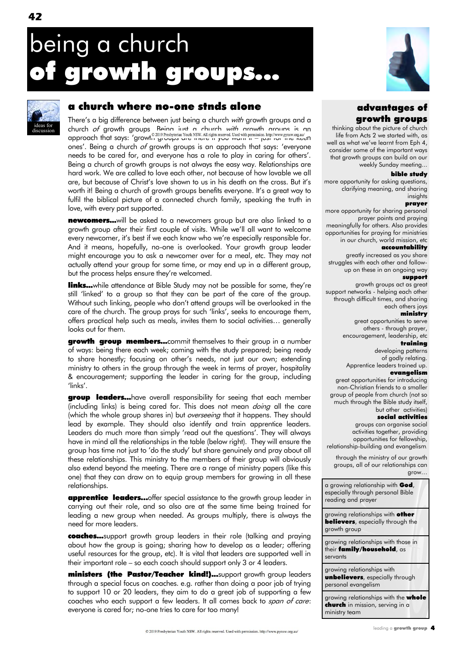## being a church rowth groups...



## a church where no-one stnds alone

There's a big difference between just being a church with growth groups and a church of growth groups. Being just a church with growth groups is an approach that says: "growth groups are news. All rights reserved. Used with permission. http://www.pynsw.org.aw/<br>approach that says: "growth groups are mere in you wann in – just for the keen ones'. Being a church of growth groups is an approach that says: 'everyone needs to be cared for, and everyone has a role to play in caring for others'. Being a church of growth groups is not always the easy way. Relationships are hard work. We are called to love each other, not because of how lovable we all are, but because of Christ's love shown to us in his death on the cross. But it's worth it! Being a church of growth groups benefits everyone. It's a great way to fulfil the biblical picture of a connected church family, speaking the truth in love, with every part supported.

newcomers...will be asked to a newcomers group but are also linked to a growth group after their first couple of visits. While we'll all want to welcome every newcomer, it's best if we each know who we're especially responsible for. And it means, hopefully, no-one is overlooked. Your growth group leader might encourage you to ask a newcomer over for a meal, etc. They may not actually attend your group for some time, or may end up in a different group, but the process helps ensure they're welcomed.

**links...**while attendance at Bible Study may not be possible for some, they're still 'linked' to a group so that they can be part of the care of the group. Without such linking, people who don't attend groups will be overlooked in the care of the church. The group prays for such 'links', seeks to encourage them, offers practical help such as meals, invites them to social activities… generally looks out for them.

growth group members...commit themselves to their group in a number of ways: being there each week; coming with the study prepared; being ready to share honestly; focusing on other's needs, not just our own; extending ministry to others in the group through the week in terms of prayer, hospitality & encouragement; supporting the leader in caring for the group, including 'links'.

group leaders...have overall responsibility for seeing that each member (including links) is being cared for. This does not mean *doing* all the care (which the whole group shares in) but overseeing that it happens. They should lead by example. They should also identify and train apprentice leaders. Leaders do much more than simply 'read out the questions'. They will always have in mind all the relationships in the table (below right). They will ensure the group has time not just to 'do the study' but share genuinely and pray about all these relationships. This ministry to the members of their group will obviously also extend beyond the meeting. There are a range of ministry papers (like this one) that they can draw on to equip group members for growing in all these relationships.

apprentice leaders…offer special assistance to the growth group leader in carrying out their role, and so also are at the same time being trained for leading a new group when needed. As groups multiply, there is always the need for more leaders.

coaches...support growth group leaders in their role (talking and praying about how the group is going; sharing how to develop as a leader; offering useful resources for the group, etc). It is vital that leaders are supported well in their important role – so each coach should support only 3 or 4 leaders.

ministers (the Pastor/Teacher kind!)...support growth group leaders through a special focus on coaches. e.g. rather than doing a poor job of trying to support 10 or 20 leaders, they aim to do a great job of supporting a few coaches who each support a few leaders. It all comes back to span of care: everyone is cared for; no-one tries to care for too many!



## advantages of growth groups

thinking about the picture of church life from Acts 2 we started with, as well as what we've learnt from Eph 4 consider some of the important ways that growth groups can build on our weekly Sunday meeting...

#### bible study

more opportunity for asking questions, clarifying meaning, and sharing insights

#### prayer

more opportunity for sharing personal prayer points and praying meaningfully for others. Also provides opportunities for praying for ministries in our church, world mission, etc

#### accountability

greatly increased as you share struggles with each other and followup on these in an ongoing way

#### support

growth groups act as great support networks - helping each other through difficult times, and sharing each others joys

#### ministry

great opportunities to serve others - through prayer, encouragement, leadership, etc

#### training

developing patterns of godly relating. Apprentice leaders trained up.

#### evangelism

great opportunities for introducing non-Christian friends to a smaller group of people from church (not so much through the Bible study itself, but other activities)

#### social activities

groups can organise social activities together, providing opportunities for fellowship, relationship-building and evangelism.

through the ministry of our growth groups, all of our relationships can grow…

a growing relationship with God, especially through personal Bible reading and prayer

growing relationships with other **believers**, especially through the growth group

growing relationships with those in their family/household, as servants

growing relationships with unbelievers, especially through personal evangelism

growing relationships with the **whole** church in mission, serving in a ministry team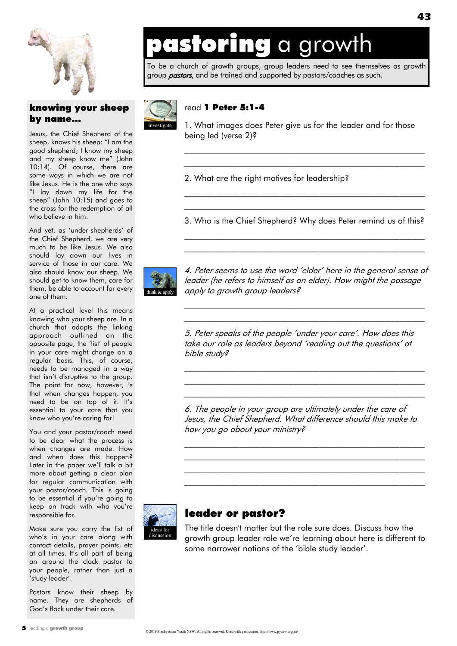

### knowing your sheep by name...

Jesus, the Chief Shepherd of the sheep, knows his sheep: "I am the good shepherd; I know my sheep and my sheep know me" (John 10:14). Of course, there are some ways in which we are not like Jesus. He is the one who says "I lay down my life for the sheep" (John 10:15) and goes to the cross for the redemption of all who believe in him.

And yet, as 'under-shepherds' of the Chief Shepherd, we are very much to be like Jesus. We also should lay down our lives in service of those in our care. We also should know our sheep. We should get to know them, care for them, be able to account for every one of them.

At a practical level this means knowing who your sheep are. In a church that adopts the linking approach outlined on the opposite page, the 'list' of people in your care might change on a regular basis. This, of course, needs to be managed in a way that isn't disruptive to the group. The point for now, however, is that when changes happen, you need to be on top of it. It's essential to your care that you know who you're caring for!

You and your pastor/coach need to be clear what the process is when changes are made. How and when does this happen? Later in the paper we'll talk a bit more about getting a clear plan for regular communication with your pastor/coach. This is going to be essential if you're going to keep on track with who you're responsible for.

Make sure you carry the list of who's in your care along with contact details, prayer points, etc at all times. It's all part of being an around the clock pastor to your people, rather than just a 'study leader'.

Pastors know their sheep by name. They are shepherds of God's flock under their care.

## astoring a growth

To be a church of growth groups, group leaders need to see themselves as growth group **pastors**, and be trained and supported by pastors/coaches as such.



### read 1 Peter 5:1-4

1. What images does Peter give us for the leader and for those being led (verse 2)?

\_\_\_\_\_\_\_\_\_\_\_\_\_\_\_\_\_\_\_\_\_\_\_\_\_\_\_\_\_\_\_\_\_\_\_\_\_\_\_\_\_\_\_\_\_\_\_\_\_\_\_\_\_\_\_\_\_ \_\_\_\_\_\_\_\_\_\_\_\_\_\_\_\_\_\_\_\_\_\_\_\_\_\_\_\_\_\_\_\_\_\_\_\_\_\_\_\_\_\_\_\_\_\_\_\_\_\_\_\_\_\_\_\_\_

2. What are the right motives for leadership?

\_\_\_\_\_\_\_\_\_\_\_\_\_\_\_\_\_\_\_\_\_\_\_\_\_\_\_\_\_\_\_\_\_\_\_\_\_\_\_\_\_\_\_\_\_\_\_\_\_\_\_\_\_\_\_\_\_ 3. Who is the Chief Shepherd? Why does Peter remind us of this?  $\mathcal{L}_\text{max}$  and the contract of the contract of the contract of the contract of the contract of the contract of

 $\mathcal{L}_\text{max}$  and the contract of the contract of the contract of the contract of the contract of the contract of

\_\_\_\_\_\_\_\_\_\_\_\_\_\_\_\_\_\_\_\_\_\_\_\_\_\_\_\_\_\_\_\_\_\_\_\_\_\_\_\_\_\_\_\_\_\_\_\_\_\_\_\_\_\_\_\_\_



4. Peter seems to use the word 'elder' here in the general sense of leader (he refers to himself as an elder). How might the passage apply to growth group leaders?

\_\_\_\_\_\_\_\_\_\_\_\_\_\_\_\_\_\_\_\_\_\_\_\_\_\_\_\_\_\_\_\_\_\_\_\_\_\_\_\_\_\_\_\_\_\_\_\_\_\_\_\_\_\_\_\_\_ \_\_\_\_\_\_\_\_\_\_\_\_\_\_\_\_\_\_\_\_\_\_\_\_\_\_\_\_\_\_\_\_\_\_\_\_\_\_\_\_\_\_\_\_\_\_\_\_\_\_\_\_\_\_\_\_\_

5. Peter speaks of the people ‗under your care'. How does this take our role as leaders beyond 'reading out the questions' at bible study?

\_\_\_\_\_\_\_\_\_\_\_\_\_\_\_\_\_\_\_\_\_\_\_\_\_\_\_\_\_\_\_\_\_\_\_\_\_\_\_\_\_\_\_\_\_\_\_\_\_\_\_\_\_\_\_\_\_ \_\_\_\_\_\_\_\_\_\_\_\_\_\_\_\_\_\_\_\_\_\_\_\_\_\_\_\_\_\_\_\_\_\_\_\_\_\_\_\_\_\_\_\_\_\_\_\_\_\_\_\_\_\_\_\_\_ \_\_\_\_\_\_\_\_\_\_\_\_\_\_\_\_\_\_\_\_\_\_\_\_\_\_\_\_\_\_\_\_\_\_\_\_\_\_\_\_\_\_\_\_\_\_\_\_\_\_\_\_\_\_\_\_\_

6. The people in your group are ultimately under the care of Jesus, the Chief Shepherd. What difference should this make to how you go about your ministry?

\_\_\_\_\_\_\_\_\_\_\_\_\_\_\_\_\_\_\_\_\_\_\_\_\_\_\_\_\_\_\_\_\_\_\_\_\_\_\_\_\_\_\_\_\_\_\_\_\_\_\_\_\_\_\_\_\_  $\mathcal{L}_\text{max}$  and the contract of the contract of the contract of the contract of the contract of the contract of \_\_\_\_\_\_\_\_\_\_\_\_\_\_\_\_\_\_\_\_\_\_\_\_\_\_\_\_\_\_\_\_\_\_\_\_\_\_\_\_\_\_\_\_\_\_\_\_\_\_\_\_\_\_\_\_\_ \_\_\_\_\_\_\_\_\_\_\_\_\_\_\_\_\_\_\_\_\_\_\_\_\_\_\_\_\_\_\_\_\_\_\_\_\_\_\_\_\_\_\_\_\_\_\_\_\_\_\_\_\_\_\_\_\_



## leader or pastor?

The title doesn't matter but the role sure does. Discuss how the growth group leader role we're learning about here is different to some narrower notions of the 'bible study leader'.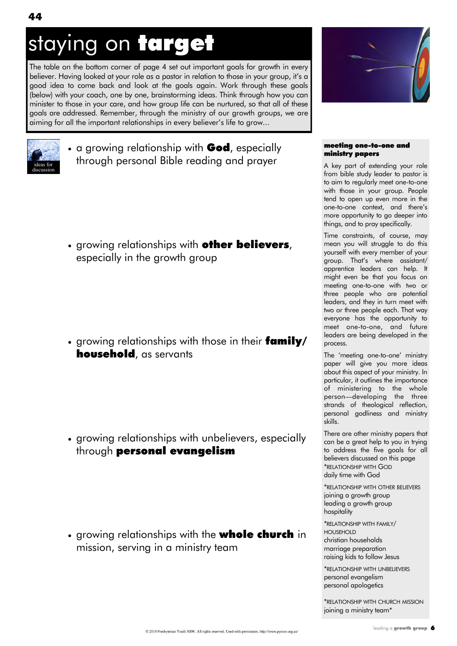## staying on target

The table on the bottom corner of page 4 set out important goals for growth in every believer. Having looked at your role as a pastor in relation to those in your group, it's a good idea to come back and look at the goals again. Work through these goals (below) with your coach, one by one, brainstorming ideas. Think through how you can minister to those in your care, and how group life can be nurtured, so that all of these goals are addressed. Remember, through the ministry of our growth groups, we are aiming for all the important relationships in every believer's life to grow...



#### meeting one-to-one and ministry papers

A key part of extending your role from bible study leader to pastor is to aim to regularly meet one-to-one with those in your group. People tend to open up even more in the one-to-one context, and there's more opportunity to go deeper into things, and to pray specifically.

Time constraints, of course, may mean you will struggle to do this yourself with every member of your group. That's where assistant/ apprentice leaders can help. It might even be that you focus on meeting one-to-one with two or three people who are potential leaders, and they in turn meet with two or three people each. That way everyone has the opportunity to meet one-to-one, and future leaders are being developed in the process.

The 'meeting one-to-one' ministry paper will give you more ideas about this aspect of your ministry. In particular, it outlines the importance of ministering to the whole person—developing the three strands of theological reflection, personal godliness and ministry skills.

There are other ministry papers that can be a great help to you in trying to address the five goals for all believers discussed on this page \*RELATIONSHIP WITH GOD daily time with God

\*RELATIONSHIP WITH OTHER BELIEVERS joining a growth group leading a growth group hospitality

\*RELATIONSHIP WITH FAMILY/ HOUSEHOLD christian households marriage preparation raising kids to follow Jesus

\*RELATIONSHIP WITH UNBELIEVERS personal evangelism personal apologetics

\*RELATIONSHIP WITH CHURCH MISSION joining a ministry team\*



• a growing relationship with **God**, especially through personal Bible reading and prayer

• growing relationships with **other believers**, especially in the growth group

• growing relationships with those in their family/ household, as servants

• growing relationships with unbelievers, especially through personal evangelism

• growing relationships with the **whole church** in mission, serving in a ministry team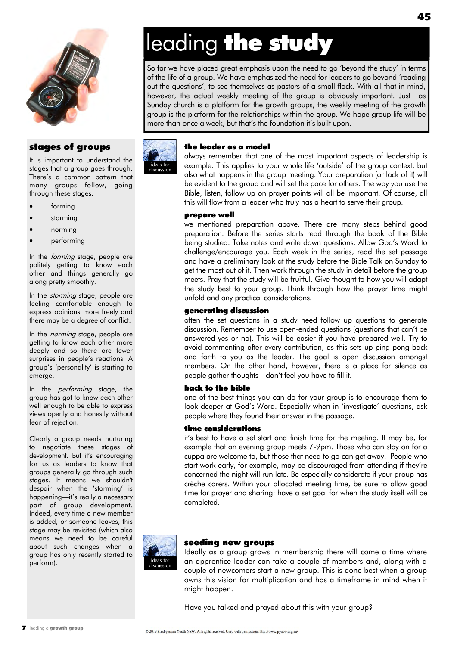

### stages of groups

It is important to understand the stages that a group goes through. There's a common pattern that many groups follow, going through these stages:

- forming
- storming
- norming
- performing

In the *forming* stage, people are politely getting to know each other and things generally go along pretty smoothly.

In the *storming* stage, people are feeling comfortable enough to express opinions more freely and there may be a degree of conflict.

In the *norming* stage, people are getting to know each other more deeply and so there are fewer surprises in people's reactions. A group's ‗personality' is starting to emerge.

In the *performing* stage, the group has got to know each other well enough to be able to express views openly and honestly without fear of rejection.

Clearly a group needs nurturing to negotiate these stages of development. But it's encouraging for us as leaders to know that groups generally go through such stages. It means we shouldn't despair when the 'storming' is happening—it's really a necessary part of group development. Indeed, every time a new member is added, or someone leaves, this stage may be revisited (which also means we need to be careful about such changes when a group has only recently started to perform).



## leading the study

So far we have placed great emphasis upon the need to go 'beyond the study' in terms of the life of a group. We have emphasized the need for leaders to go beyond 'reading out the questions', to see themselves as pastors of a small flock. With all that in mind, however, the actual weekly meeting of the group is obviously important. Just as Sunday church is a platform for the growth groups, the weekly meeting of the growth group is the platform for the relationships within the group. We hope group life will be more than once a week, but that's the foundation it's built upon.

## the leader as a model

always remember that one of the most important aspects of leadership is example. This applies to your whole life 'outside' of the group context, but also what happens in the group meeting. Your preparation (or lack of it) will be evident to the group and will set the pace for others. The way you use the Bible, listen, follow up on prayer points will all be important. Of course, all this will flow from a leader who truly has a heart to serve their group.

#### prepare well

we mentioned preparation above. There are many steps behind good preparation. Before the series starts read through the book of the Bible being studied. Take notes and write down questions. Allow God's Word to challenge/encourage you. Each week in the series, read the set passage and have a preliminary look at the study before the Bible Talk on Sunday to get the most out of it. Then work through the study in detail before the group meets. Pray that the study will be fruitful. Give thought to how you will adapt the study best to your group. Think through how the prayer time might unfold and any practical considerations.

#### generating discussion

often the set questions in a study need follow up questions to generate discussion. Remember to use open-ended questions (questions that can't be answered yes or no). This will be easier if you have prepared well. Try to avoid commenting after every contribution, as this sets up ping-pong back and forth to you as the leader. The goal is open discussion amongst members. On the other hand, however, there is a place for silence as people gather thoughts—don't feel you have to fill it.

#### back to the bible

one of the best things you can do for your group is to encourage them to look deeper at God's Word. Especially when in 'investigate' questions, ask people where they found their answer in the passage.

#### time considerations

it's best to have a set start and finish time for the meeting. It may be, for example that an evening group meets 7-9pm. Those who can stay on for a cuppa are welcome to, but those that need to go can get away. People who start work early, for example, may be discouraged from attending if they're concerned the night will run late. Be especially considerate if your group has crèche carers. Within your allocated meeting time, be sure to allow good time for prayer and sharing: have a set goal for when the study itself will be completed.



#### seeding new groups

Ideally as a group grows in membership there will come a time where an apprentice leader can take a couple of members and, along with a couple of newcomers start a new group. This is done best when a group owns this vision for multiplication and has a timeframe in mind when it might happen.

Have you talked and prayed about this with your group?